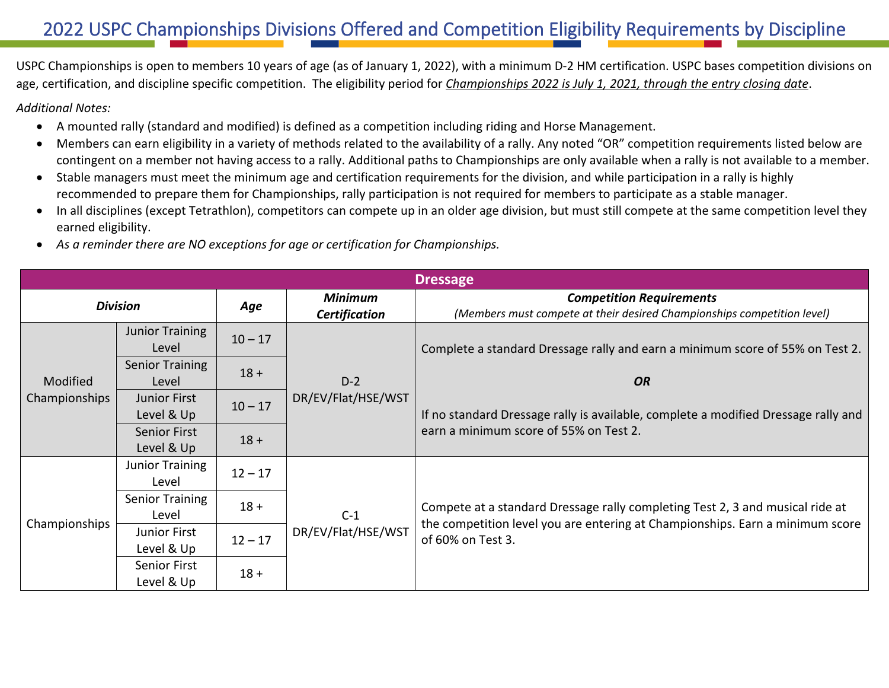## 2022 USPC Championships Divisions Offered and Competition Eligibility Requirements by Discipline

USPC Championships is open to members 10 years of age (as of January 1, 2022), with a minimum D-2 HM certification. USPC bases competition divisions on age, certification, and discipline specific competition. The eligibility period for *Championships 2022 is July 1, 2021, through the entry closing date*.

*Additional Notes:*

- A mounted rally (standard and modified) is defined as a competition including riding and Horse Management.
- Members can earn eligibility in a variety of methods related to the availability of a rally. Any noted "OR" competition requirements listed below are contingent on a member not having access to a rally. Additional paths to Championships are only available when a rally is not available to a member.
- Stable managers must meet the minimum age and certification requirements for the division, and while participation in a rally is highly recommended to prepare them for Championships, rally participation is not required for members to participate as a stable manager.
- In all disciplines (except Tetrathlon), competitors can compete up in an older age division, but must still compete at the same competition level they earned eligibility.
- *As a reminder there are NO exceptions for age or certification for Championships.*

| <b>Dressage</b> |                        |           |                             |                                                                                                                                                                                     |  |  |  |
|-----------------|------------------------|-----------|-----------------------------|-------------------------------------------------------------------------------------------------------------------------------------------------------------------------------------|--|--|--|
| <b>Division</b> |                        | Age       | <b>Minimum</b>              | <b>Competition Requirements</b>                                                                                                                                                     |  |  |  |
|                 |                        |           | <b>Certification</b>        | (Members must compete at their desired Championships competition level)                                                                                                             |  |  |  |
|                 | <b>Junior Training</b> | $10 - 17$ |                             | Complete a standard Dressage rally and earn a minimum score of 55% on Test 2.                                                                                                       |  |  |  |
|                 | Level                  |           |                             |                                                                                                                                                                                     |  |  |  |
|                 | <b>Senior Training</b> | $18 +$    |                             |                                                                                                                                                                                     |  |  |  |
| Modified        | Level                  |           | $D-2$                       | <b>OR</b>                                                                                                                                                                           |  |  |  |
| Championships   | <b>Junior First</b>    | $10 - 17$ | DR/EV/Flat/HSE/WST          | If no standard Dressage rally is available, complete a modified Dressage rally and<br>earn a minimum score of 55% on Test 2.                                                        |  |  |  |
|                 | Level & Up             |           |                             |                                                                                                                                                                                     |  |  |  |
|                 | Senior First           | $18 +$    |                             |                                                                                                                                                                                     |  |  |  |
|                 | Level & Up             |           |                             |                                                                                                                                                                                     |  |  |  |
|                 | Junior Training        | $12 - 17$ | $C-1$<br>DR/EV/Flat/HSE/WST | Compete at a standard Dressage rally completing Test 2, 3 and musical ride at<br>the competition level you are entering at Championships. Earn a minimum score<br>of 60% on Test 3. |  |  |  |
|                 | Level                  |           |                             |                                                                                                                                                                                     |  |  |  |
|                 | <b>Senior Training</b> | $18 +$    |                             |                                                                                                                                                                                     |  |  |  |
| Championships   | Level                  |           |                             |                                                                                                                                                                                     |  |  |  |
|                 | <b>Junior First</b>    | $12 - 17$ |                             |                                                                                                                                                                                     |  |  |  |
|                 | Level & Up             |           |                             |                                                                                                                                                                                     |  |  |  |
|                 | <b>Senior First</b>    | $18 +$    |                             |                                                                                                                                                                                     |  |  |  |
|                 | Level & Up             |           |                             |                                                                                                                                                                                     |  |  |  |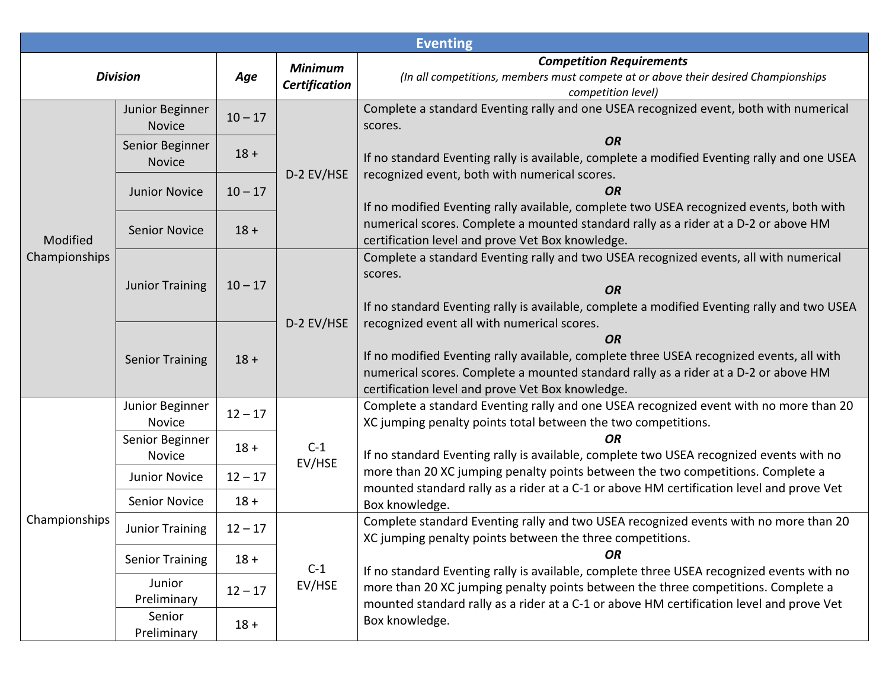| <b>Eventing</b> |                                  |           |                                        |                                                                                                                                                                                                                                                                                                 |  |  |  |
|-----------------|----------------------------------|-----------|----------------------------------------|-------------------------------------------------------------------------------------------------------------------------------------------------------------------------------------------------------------------------------------------------------------------------------------------------|--|--|--|
| <b>Division</b> |                                  | Age       | <b>Minimum</b><br><b>Certification</b> | <b>Competition Requirements</b><br>(In all competitions, members must compete at or above their desired Championships<br>competition level)                                                                                                                                                     |  |  |  |
|                 | Junior Beginner<br><b>Novice</b> | $10 - 17$ |                                        | Complete a standard Eventing rally and one USEA recognized event, both with numerical<br>scores.                                                                                                                                                                                                |  |  |  |
|                 | Senior Beginner<br><b>Novice</b> | $18 +$    |                                        | <b>OR</b><br>If no standard Eventing rally is available, complete a modified Eventing rally and one USEA                                                                                                                                                                                        |  |  |  |
|                 | <b>Junior Novice</b>             | $10 - 17$ | D-2 EV/HSE                             | recognized event, both with numerical scores.<br><b>OR</b><br>If no modified Eventing rally available, complete two USEA recognized events, both with                                                                                                                                           |  |  |  |
| Modified        | <b>Senior Novice</b>             | $18 +$    |                                        | numerical scores. Complete a mounted standard rally as a rider at a D-2 or above HM<br>certification level and prove Vet Box knowledge.                                                                                                                                                         |  |  |  |
| Championships   | <b>Junior Training</b>           | $10 - 17$ | D-2 EV/HSE                             | Complete a standard Eventing rally and two USEA recognized events, all with numerical<br>scores.<br><b>OR</b><br>If no standard Eventing rally is available, complete a modified Eventing rally and two USEA                                                                                    |  |  |  |
|                 | <b>Senior Training</b>           | $18 +$    |                                        | recognized event all with numerical scores.<br><b>OR</b><br>If no modified Eventing rally available, complete three USEA recognized events, all with<br>numerical scores. Complete a mounted standard rally as a rider at a D-2 or above HM<br>certification level and prove Vet Box knowledge. |  |  |  |
|                 | Junior Beginner<br>Novice        | $12 - 17$ | $C-1$<br>EV/HSE                        | Complete a standard Eventing rally and one USEA recognized event with no more than 20<br>XC jumping penalty points total between the two competitions.                                                                                                                                          |  |  |  |
|                 | Senior Beginner<br>Novice        | $18 +$    |                                        | <b>OR</b><br>If no standard Eventing rally is available, complete two USEA recognized events with no<br>more than 20 XC jumping penalty points between the two competitions. Complete a<br>mounted standard rally as a rider at a C-1 or above HM certification level and prove Vet             |  |  |  |
|                 | <b>Junior Novice</b>             | $12 - 17$ |                                        |                                                                                                                                                                                                                                                                                                 |  |  |  |
|                 | <b>Senior Novice</b>             | $18 +$    |                                        | Box knowledge.                                                                                                                                                                                                                                                                                  |  |  |  |
| Championships   | <b>Junior Training</b>           | $12 - 17$ |                                        | Complete standard Eventing rally and two USEA recognized events with no more than 20<br>XC jumping penalty points between the three competitions.                                                                                                                                               |  |  |  |
|                 | <b>Senior Training</b>           | $18 +$    | $C-1$<br>EV/HSE                        | <b>OR</b><br>If no standard Eventing rally is available, complete three USEA recognized events with no                                                                                                                                                                                          |  |  |  |
|                 | Junior<br>Preliminary            | $12 - 17$ |                                        | more than 20 XC jumping penalty points between the three competitions. Complete a<br>mounted standard rally as a rider at a C-1 or above HM certification level and prove Vet                                                                                                                   |  |  |  |
|                 | Senior<br>Preliminary            | $18 +$    |                                        | Box knowledge.                                                                                                                                                                                                                                                                                  |  |  |  |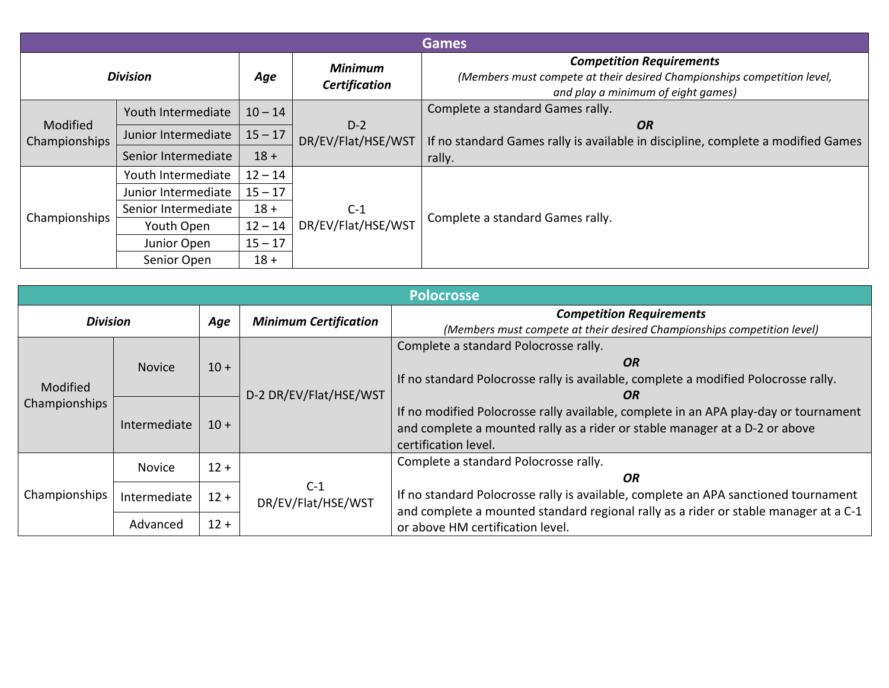| <b>Games</b>              |                     |           |                                        |                                                                                                                                                  |  |  |  |
|---------------------------|---------------------|-----------|----------------------------------------|--------------------------------------------------------------------------------------------------------------------------------------------------|--|--|--|
| <b>Division</b>           |                     | Age       | <b>Minimum</b><br><b>Certification</b> | <b>Competition Requirements</b><br>(Members must compete at their desired Championships competition level,<br>and play a minimum of eight games) |  |  |  |
|                           | Youth Intermediate  | $10 - 14$ |                                        | Complete a standard Games rally.                                                                                                                 |  |  |  |
| Modified<br>Championships | Junior Intermediate | $15 - 17$ | $D-2$<br>DR/EV/Flat/HSE/WST            | <b>OR</b><br>If no standard Games rally is available in discipline, complete a modified Games                                                    |  |  |  |
|                           | Senior Intermediate | $18 +$    |                                        | rally.                                                                                                                                           |  |  |  |
|                           | Youth Intermediate  | $12 - 14$ |                                        | Complete a standard Games rally.                                                                                                                 |  |  |  |
|                           | Junior Intermediate | $15 - 17$ |                                        |                                                                                                                                                  |  |  |  |
| Championships             | Senior Intermediate | $18 +$    | $C-1$                                  |                                                                                                                                                  |  |  |  |
|                           | Youth Open          | $12 - 14$ | DR/EV/Flat/HSE/WST                     |                                                                                                                                                  |  |  |  |
|                           | Junior Open         | $15 - 17$ |                                        |                                                                                                                                                  |  |  |  |
|                           | Senior Open         | $18 +$    |                                        |                                                                                                                                                  |  |  |  |

| <b>Polocrosse</b> |               |        |                              |                                                                                      |  |  |  |
|-------------------|---------------|--------|------------------------------|--------------------------------------------------------------------------------------|--|--|--|
| <b>Division</b>   |               | Age    | <b>Minimum Certification</b> | <b>Competition Requirements</b>                                                      |  |  |  |
|                   |               |        |                              | (Members must compete at their desired Championships competition level)              |  |  |  |
|                   |               |        | D-2 DR/EV/Flat/HSE/WST       | Complete a standard Polocrosse rally.                                                |  |  |  |
|                   | <b>Novice</b> | $10 +$ |                              | OR                                                                                   |  |  |  |
|                   |               |        |                              | If no standard Polocrosse rally is available, complete a modified Polocrosse rally.  |  |  |  |
| Modified          |               |        |                              | OR                                                                                   |  |  |  |
| Championships     | Intermediate  |        |                              | If no modified Polocrosse rally available, complete in an APA play-day or tournament |  |  |  |
|                   |               | $10 +$ |                              | and complete a mounted rally as a rider or stable manager at a D-2 or above          |  |  |  |
|                   |               |        |                              | certification level.                                                                 |  |  |  |
|                   | <b>Novice</b> | $12 +$ |                              | Complete a standard Polocrosse rally.                                                |  |  |  |
| Championships     |               |        | $C-1$<br>DR/EV/Flat/HSE/WST  | OR                                                                                   |  |  |  |
|                   | Intermediate  | $12 +$ |                              | If no standard Polocrosse rally is available, complete an APA sanctioned tournament  |  |  |  |
|                   |               |        |                              | and complete a mounted standard regional rally as a rider or stable manager at a C-1 |  |  |  |
|                   | Advanced      | $12 +$ |                              | or above HM certification level.                                                     |  |  |  |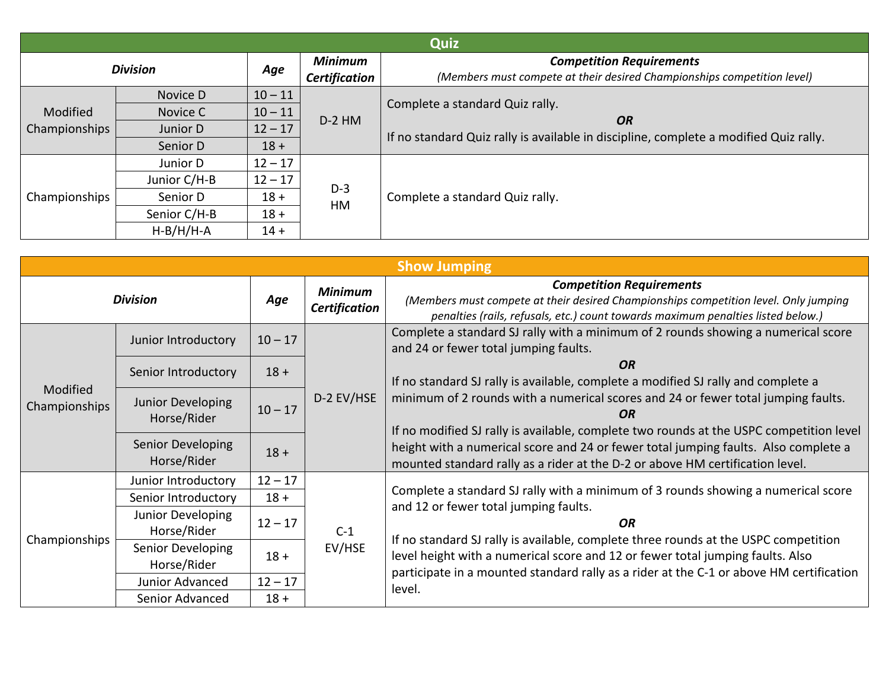| Quiz            |              |           |                                                          |                                                                                                            |  |  |  |
|-----------------|--------------|-----------|----------------------------------------------------------|------------------------------------------------------------------------------------------------------------|--|--|--|
| <b>Division</b> |              | Age       | <b>Minimum</b><br><b>Certification</b>                   | <b>Competition Requirements</b><br>(Members must compete at their desired Championships competition level) |  |  |  |
|                 | Novice D     | $10 - 11$ | Complete a standard Quiz rally.<br>$D-2$ HM<br><b>OR</b> |                                                                                                            |  |  |  |
| Modified        | Novice C     | $10 - 11$ |                                                          |                                                                                                            |  |  |  |
| Championships   | Junior D     | $12 - 17$ |                                                          | If no standard Quiz rally is available in discipline, complete a modified Quiz rally.                      |  |  |  |
|                 | Senior D     | $18 +$    |                                                          |                                                                                                            |  |  |  |
|                 | Junior D     | $12 - 17$ | $D-3$<br>HM                                              | Complete a standard Quiz rally.                                                                            |  |  |  |
|                 | Junior C/H-B | $12 - 17$ |                                                          |                                                                                                            |  |  |  |
| Championships   | Senior D     | $18 +$    |                                                          |                                                                                                            |  |  |  |
|                 | Senior C/H-B | $18 +$    |                                                          |                                                                                                            |  |  |  |
|                 | $H-B/H/H-A$  | $14 +$    |                                                          |                                                                                                            |  |  |  |

| <b>Show Jumping</b>       |                                  |           |                                        |                                                                                                                                                                                                                                                                                                                                                                                                                                                              |  |  |  |
|---------------------------|----------------------------------|-----------|----------------------------------------|--------------------------------------------------------------------------------------------------------------------------------------------------------------------------------------------------------------------------------------------------------------------------------------------------------------------------------------------------------------------------------------------------------------------------------------------------------------|--|--|--|
| <b>Division</b>           |                                  | Age       | <b>Minimum</b><br><b>Certification</b> | <b>Competition Requirements</b><br>(Members must compete at their desired Championships competition level. Only jumping<br>penalties (rails, refusals, etc.) count towards maximum penalties listed below.)                                                                                                                                                                                                                                                  |  |  |  |
| Modified<br>Championships | Junior Introductory              | $10 - 17$ | D-2 EV/HSE                             | Complete a standard SJ rally with a minimum of 2 rounds showing a numerical score<br>and 24 or fewer total jumping faults.                                                                                                                                                                                                                                                                                                                                   |  |  |  |
|                           | Senior Introductory              | $18 +$    |                                        | <b>OR</b><br>If no standard SJ rally is available, complete a modified SJ rally and complete a<br>minimum of 2 rounds with a numerical scores and 24 or fewer total jumping faults.<br>OR<br>If no modified SJ rally is available, complete two rounds at the USPC competition level<br>height with a numerical score and 24 or fewer total jumping faults. Also complete a<br>mounted standard rally as a rider at the D-2 or above HM certification level. |  |  |  |
|                           | Junior Developing<br>Horse/Rider | $10 - 17$ |                                        |                                                                                                                                                                                                                                                                                                                                                                                                                                                              |  |  |  |
|                           | Senior Developing<br>Horse/Rider | $18 +$    |                                        |                                                                                                                                                                                                                                                                                                                                                                                                                                                              |  |  |  |
|                           | Junior Introductory              | $12 - 17$ | $C-1$<br>EV/HSE                        | Complete a standard SJ rally with a minimum of 3 rounds showing a numerical score<br>and 12 or fewer total jumping faults.<br>OR.<br>If no standard SJ rally is available, complete three rounds at the USPC competition<br>level height with a numerical score and 12 or fewer total jumping faults. Also<br>participate in a mounted standard rally as a rider at the C-1 or above HM certification<br>level.                                              |  |  |  |
|                           | Senior Introductory              | $18 +$    |                                        |                                                                                                                                                                                                                                                                                                                                                                                                                                                              |  |  |  |
| Championships             | Junior Developing<br>Horse/Rider | $12 - 17$ |                                        |                                                                                                                                                                                                                                                                                                                                                                                                                                                              |  |  |  |
|                           | Senior Developing<br>Horse/Rider | $18 +$    |                                        |                                                                                                                                                                                                                                                                                                                                                                                                                                                              |  |  |  |
|                           | Junior Advanced                  | $12 - 17$ |                                        |                                                                                                                                                                                                                                                                                                                                                                                                                                                              |  |  |  |
|                           | Senior Advanced                  | $18 +$    |                                        |                                                                                                                                                                                                                                                                                                                                                                                                                                                              |  |  |  |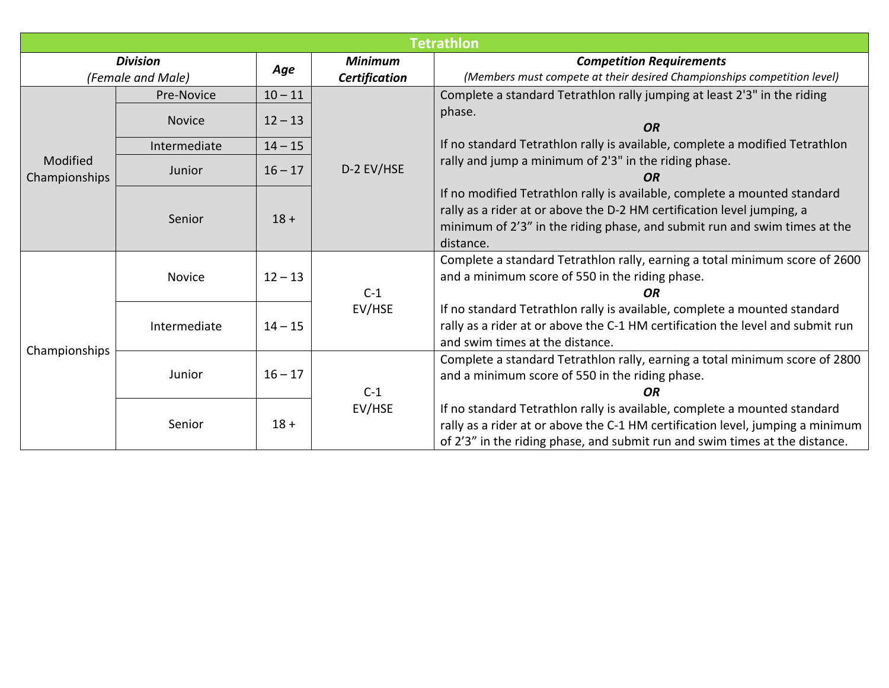|                                      | <b>Tetrathlon</b> |           |                                 |                                                                                                                                                                                                                                               |  |  |  |  |
|--------------------------------------|-------------------|-----------|---------------------------------|-----------------------------------------------------------------------------------------------------------------------------------------------------------------------------------------------------------------------------------------------|--|--|--|--|
| <b>Division</b><br>(Female and Male) |                   | Age       | <b>Minimum</b><br>Certification | <b>Competition Requirements</b><br>(Members must compete at their desired Championships competition level)                                                                                                                                    |  |  |  |  |
|                                      | Pre-Novice        | $10 - 11$ |                                 | Complete a standard Tetrathlon rally jumping at least 2'3" in the riding                                                                                                                                                                      |  |  |  |  |
|                                      | <b>Novice</b>     | $12 - 13$ |                                 | phase.<br>OR                                                                                                                                                                                                                                  |  |  |  |  |
|                                      | Intermediate      | $14 - 15$ | D-2 EV/HSE                      | If no standard Tetrathlon rally is available, complete a modified Tetrathlon                                                                                                                                                                  |  |  |  |  |
| Modified<br>Championships            | Junior            | $16 - 17$ |                                 | rally and jump a minimum of 2'3" in the riding phase.<br><b>OR</b>                                                                                                                                                                            |  |  |  |  |
|                                      | Senior            | $18 +$    |                                 | If no modified Tetrathlon rally is available, complete a mounted standard<br>rally as a rider at or above the D-2 HM certification level jumping, a<br>minimum of 2'3" in the riding phase, and submit run and swim times at the<br>distance. |  |  |  |  |
| Championships                        | <b>Novice</b>     | $12 - 13$ | $C-1$                           | Complete a standard Tetrathlon rally, earning a total minimum score of 2600<br>and a minimum score of 550 in the riding phase.<br><b>OR</b>                                                                                                   |  |  |  |  |
|                                      | Intermediate      | $14 - 15$ | EV/HSE                          | If no standard Tetrathlon rally is available, complete a mounted standard<br>rally as a rider at or above the C-1 HM certification the level and submit run<br>and swim times at the distance.                                                |  |  |  |  |
|                                      | Junior            | $16 - 17$ | $C-1$                           | Complete a standard Tetrathlon rally, earning a total minimum score of 2800<br>and a minimum score of 550 in the riding phase.<br><b>OR</b>                                                                                                   |  |  |  |  |
|                                      | Senior            | $18 +$    | EV/HSE                          | If no standard Tetrathlon rally is available, complete a mounted standard<br>rally as a rider at or above the C-1 HM certification level, jumping a minimum<br>of 2'3" in the riding phase, and submit run and swim times at the distance.    |  |  |  |  |